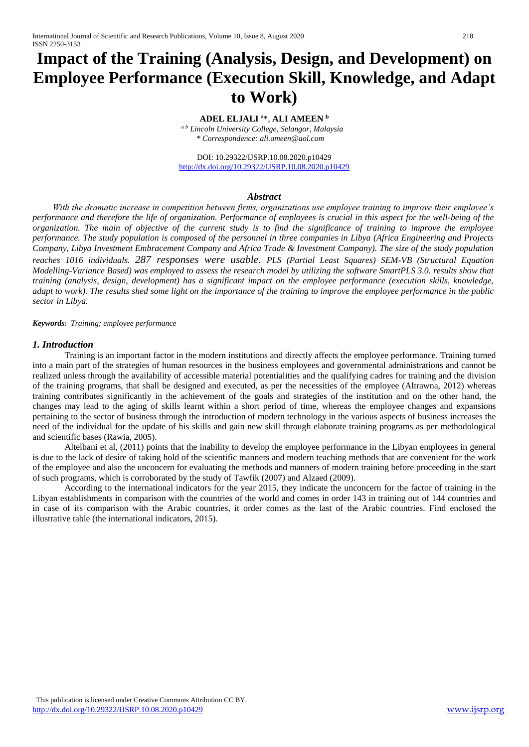# **Impact of the Training (Analysis, Design, and Development) on Employee Performance (Execution Skill, Knowledge, and Adapt to Work)**

# **ADEL ELJALI** ª\*, **ALI AMEEN <sup>b</sup>**

*ª <sup>b</sup> Lincoln University College, Selangor, Malaysia \* Correspondence: ali.ameen@aol.com*

DOI: 10.29322/IJSRP.10.08.2020.p10429 <http://dx.doi.org/10.29322/IJSRP.10.08.2020.p10429>

## *Abstract*

*With the dramatic increase in competition between firms, organizations use employee training to improve their employee's performance and therefore the life of organization. Performance of employees is crucial in this aspect for the well-being of the organization. The main of objective of the current study is to find the significance of training to improve the employee performance. The study population is composed of the personnel in three companies in Libya (Africa Engineering and Projects Company, Libya Investment Embracement Company and Africa Trade & Investment Company). The size of the study population reaches 1016 individuals. 287 responses were usable. PLS (Partial Least Squares) SEM-VB (Structural Equation Modelling-Variance Based) was employed to assess the research model by utilizing the software SmartPLS 3.0. results show that training (analysis, design, development) has a significant impact on the employee performance (execution skills, knowledge, adapt to work). The results shed some light on the importance of the training to improve the employee performance in the public sector in Libya.* 

*Keywords: Training; employee performance*

# *1. Introduction*

Training is an important factor in the modern institutions and directly affects the employee performance. Training turned into a main part of the strategies of human resources in the business employees and governmental administrations and cannot be realized unless through the availability of accessible material potentialities and the qualifying cadres for training and the division of the training programs, that shall be designed and executed, as per the necessities of the employee (Altrawna, 2012) whereas training contributes significantly in the achievement of the goals and strategies of the institution and on the other hand, the changes may lead to the aging of skills learnt within a short period of time, whereas the employee changes and expansions pertaining to the sector of business through the introduction of modern technology in the various aspects of business increases the need of the individual for the update of his skills and gain new skill through elaborate training programs as per methodological and scientific bases (Rawia, 2005).

Altelbani et al, (2011) points that the inability to develop the employee performance in the Libyan employees in general is due to the lack of desire of taking hold of the scientific manners and modern teaching methods that are convenient for the work of the employee and also the unconcern for evaluating the methods and manners of modern training before proceeding in the start of such programs, which is corroborated by the study of Tawfik (2007) and Alzaed (2009).

According to the international indicators for the year 2015, they indicate the unconcern for the factor of training in the Libyan establishments in comparison with the countries of the world and comes in order 143 in training out of 144 countries and in case of its comparison with the Arabic countries, it order comes as the last of the Arabic countries. Find enclosed the illustrative table (the international indicators, 2015).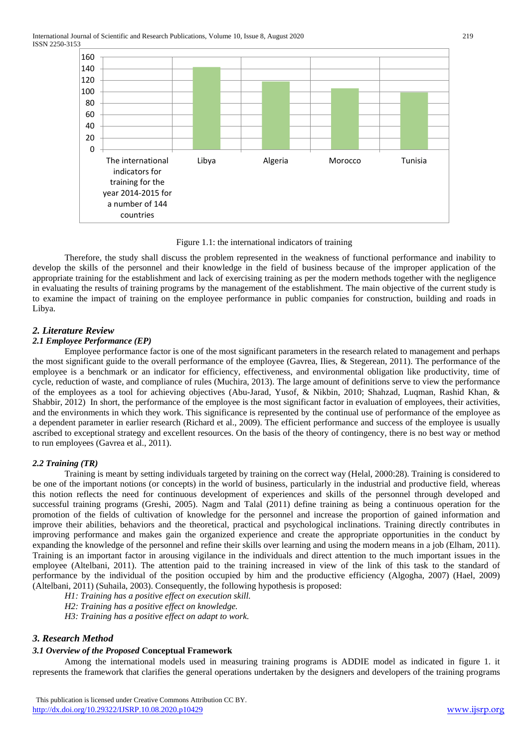

Figure 1.1: the international indicators of training

Therefore, the study shall discuss the problem represented in the weakness of functional performance and inability to develop the skills of the personnel and their knowledge in the field of business because of the improper application of the appropriate training for the establishment and lack of exercising training as per the modern methods together with the negligence in evaluating the results of training programs by the management of the establishment. The main objective of the current study is to examine the impact of training on the employee performance in public companies for construction, building and roads in Libya.

# *2. Literature Review*

## *2.1 Employee Performance (EP)*

Employee performance factor is one of the most significant parameters in the research related to management and perhaps the most significant guide to the overall performance of the employee (Gavrea, Ilies, & Stegerean, 2011). The performance of the employee is a benchmark or an indicator for efficiency, effectiveness, and environmental obligation like productivity, time of cycle, reduction of waste, and compliance of rules (Muchira, 2013). The large amount of definitions serve to view the performance of the employees as a tool for achieving objectives (Abu-Jarad, Yusof, & Nikbin, 2010; Shahzad, Luqman, Rashid Khan, & Shabbir, 2012) In short, the performance of the employee is the most significant factor in evaluation of employees, their activities, and the environments in which they work. This significance is represented by the continual use of performance of the employee as a dependent parameter in earlier research (Richard et al., 2009). The efficient performance and success of the employee is usually ascribed to exceptional strategy and excellent resources. On the basis of the theory of contingency, there is no best way or method to run employees (Gavrea et al., 2011).

## *2.2 Training (TR)*

Training is meant by setting individuals targeted by training on the correct way (Helal, 2000:28). Training is considered to be one of the important notions (or concepts) in the world of business, particularly in the industrial and productive field, whereas this notion reflects the need for continuous development of experiences and skills of the personnel through developed and successful training programs (Greshi, 2005). Nagm and Talal (2011) define training as being a continuous operation for the promotion of the fields of cultivation of knowledge for the personnel and increase the proportion of gained information and improve their abilities, behaviors and the theoretical, practical and psychological inclinations. Training directly contributes in improving performance and makes gain the organized experience and create the appropriate opportunities in the conduct by expanding the knowledge of the personnel and refine their skills over learning and using the modern means in a job (Elham, 2011). Training is an important factor in arousing vigilance in the individuals and direct attention to the much important issues in the employee (Altelbani, 2011). The attention paid to the training increased in view of the link of this task to the standard of performance by the individual of the position occupied by him and the productive efficiency (Algogha, 2007) (Hael, 2009) (Altelbani, 2011) (Suhaila, 2003). Consequently, the following hypothesis is proposed:

*H1: Training has a positive effect on execution skill.*

*H2: Training has a positive effect on knowledge.*

*H3: Training has a positive effect on adapt to work.*

## *3. Research Method*

## *3.1 Overview of the Proposed* **Conceptual Framework**

Among the international models used in measuring training programs is ADDIE model as indicated in figure 1. it represents the framework that clarifies the general operations undertaken by the designers and developers of the training programs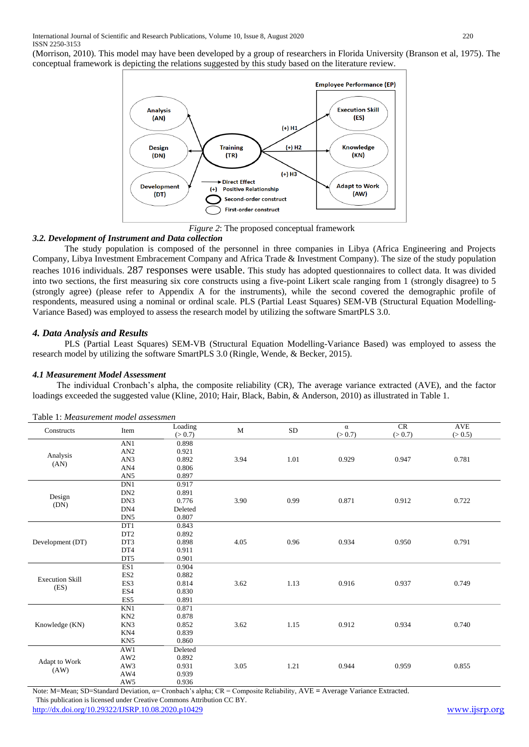(Morrison, 2010). This model may have been developed by a group of researchers in Florida University (Branson et al, 1975). The conceptual framework is depicting the relations suggested by this study based on the literature review.



*Figure 2*: The proposed conceptual framework

### *3.2. Development of Instrument and Data collection*

The study population is composed of the personnel in three companies in Libya (Africa Engineering and Projects Company, Libya Investment Embracement Company and Africa Trade & Investment Company). The size of the study population reaches 1016 individuals. 287 responses were usable. This study has adopted questionnaires to collect data. It was divided into two sections, the first measuring six core constructs using a five-point Likert scale ranging from 1 (strongly disagree) to 5 (strongly agree) (please refer to Appendix A for the instruments), while the second covered the demographic profile of respondents, measured using a nominal or ordinal scale. PLS (Partial Least Squares) SEM-VB (Structural Equation Modelling-Variance Based) was employed to assess the research model by utilizing the software SmartPLS 3.0.

### *4. Data Analysis and Results*

PLS (Partial Least Squares) SEM-VB (Structural Equation Modelling-Variance Based) was employed to assess the research model by utilizing the software SmartPLS 3.0 (Ringle, Wende, & Becker, 2015).

### *4.1 Measurement Model Assessment*

The individual Cronbach's alpha, the composite reliability (CR), The average variance extracted (AVE), and the factor loadings exceeded the suggested value (Kline, 2010; Hair, Black, Babin, & Anderson, 2010) as illustrated in Table 1.

| Constructs             | Item            | Loading<br>(> 0.7) | $\mathbf{M}$ | ${\rm SD}$ | $\alpha$<br>(> 0.7) | CR<br>(> 0.7) | $\operatorname{AVE}$<br>(> 0.5) |
|------------------------|-----------------|--------------------|--------------|------------|---------------------|---------------|---------------------------------|
| Analysis               | AN1             | 0.898              | 3.94         | 1.01       | 0.929               | 0.947         | 0.781                           |
|                        | $\mathbf{AN2}$  | 0.921              |              |            |                     |               |                                 |
|                        | AN3             | 0.892              |              |            |                     |               |                                 |
| (AN)                   | AN4             | 0.806              |              |            |                     |               |                                 |
|                        | AN5             | 0.897              |              |            |                     |               |                                 |
|                        | DN1             | 0.917              |              |            |                     |               |                                 |
| Design                 | DN <sub>2</sub> | 0.891              |              |            |                     |               |                                 |
| (DN)                   | DN3             | 0.776              | 3.90         | 0.99       | 0.871               | 0.912         | 0.722                           |
|                        | DN4             | Deleted            |              |            |                     |               |                                 |
|                        | DN <sub>5</sub> | 0.807              |              |            |                     |               |                                 |
|                        | DT1             | 0.843              |              |            |                     |               |                                 |
|                        | DT2             | 0.892              |              |            |                     |               |                                 |
| Development (DT)       | DT3             | 0.898              | 4.05         | 0.96       | 0.934               | 0.950         | 0.791                           |
|                        | DT4             | 0.911              |              |            |                     |               |                                 |
|                        | DT5             | 0.901              |              |            |                     |               |                                 |
|                        | ES1             | 0.904              |              |            |                     |               |                                 |
| <b>Execution Skill</b> | ES <sub>2</sub> | 0.882              |              |            |                     |               |                                 |
| (ES)                   | ES3             | 0.814              | 3.62         | 1.13       | 0.916               | 0.937         | 0.749                           |
|                        | ES4             | 0.830              |              |            |                     |               |                                 |
|                        | ES5             | 0.891              |              |            |                     |               |                                 |
| Knowledge (KN)         | KN1             | 0.871              |              |            |                     |               |                                 |
|                        | KN <sub>2</sub> | 0.878              |              |            |                     |               |                                 |
|                        | KN3             | 0.852              | 3.62         | 1.15       | 0.912               | 0.934         | 0.740                           |
|                        | KN4             | 0.839              |              |            |                     |               |                                 |
|                        | KN <sub>5</sub> | 0.860              |              |            |                     |               |                                 |
| Adapt to Work<br>(AW)  | AW1             | Deleted            |              |            |                     |               |                                 |
|                        | $\mathbf{AW2}$  | 0.892              |              |            |                     |               |                                 |
|                        | AW3             | 0.931              | 3.05         | 1.21       | 0.944               | 0.959         | 0.855                           |
|                        | AW4             | 0.939              |              |            |                     |               |                                 |
|                        | AW5             | 0.936              |              |            |                     |               |                                 |

#### Table 1: *Measurement model assessmen*

 This publication is licensed under Creative Commons Attribution CC BY. Note: M=Mean; SD=Standard Deviation, α= Cronbach's alpha; CR = Composite Reliability, AVE **=** Average Variance Extracted.

<http://dx.doi.org/10.29322/IJSRP.10.08.2020.p10429> [www.ijsrp.org](http://ijsrp.org/)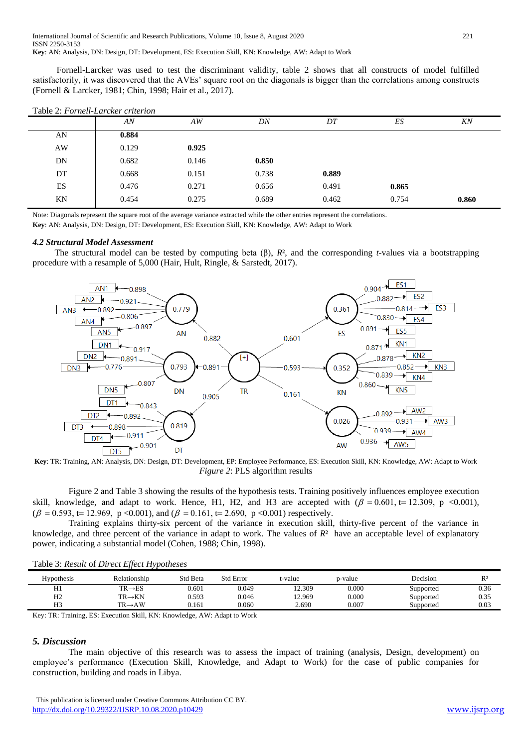Fornell-Larcker was used to test the discriminant validity, table 2 shows that all constructs of model fulfilled satisfactorily, it was discovered that the AVEs' square root on the diagonals is bigger than the correlations among constructs (Fornell & Larcker, 1981; Chin, 1998; Hair et al., 2017).

|           | Table 2. Formell-Larcker cruerion |       |       |       |       |       |
|-----------|-----------------------------------|-------|-------|-------|-------|-------|
|           | AN                                | AW    | DN    | DT    | ES    | KN    |
| AN        | 0.884                             |       |       |       |       |       |
| AW        | 0.129                             | 0.925 |       |       |       |       |
| <b>DN</b> | 0.682                             | 0.146 | 0.850 |       |       |       |
| DT        | 0.668                             | 0.151 | 0.738 | 0.889 |       |       |
| ES        | 0.476                             | 0.271 | 0.656 | 0.491 | 0.865 |       |
| ΚN        | 0.454                             | 0.275 | 0.689 | 0.462 | 0.754 | 0.860 |

Table 2: *Fornell-Larcker criterion*

Note: Diagonals represent the square root of the average variance extracted while the other entries represent the correlations.

**Key**: AN: Analysis, DN: Design, DT: Development, ES: Execution Skill, KN: Knowledge, AW: Adapt to Work

#### *4.2 Structural Model Assessment*

 The structural model can be tested by computing beta (β), *R*², and the corresponding *t-*values via a bootstrapping procedure with a resample of 5,000 (Hair, Hult, Ringle, & Sarstedt, 2017).



**Key**: TR: Training, AN: Analysis, DN: Design, DT: Development, EP: Employee Performance, ES: Execution Skill, KN: Knowledge, AW: Adapt to Work *Figure 2*: PLS algorithm results

Figure 2 and Table 3 showing the results of the hypothesis tests. Training positively influences employee execution skill, knowledge, and adapt to work. Hence, H1, H2, and H3 are accepted with  $(\beta = 0.601, t = 12.309, p < 0.001)$ ,  $(\beta = 0.593, t = 12.969, p < 0.001)$ , and  $(\beta = 0.161, t = 2.690, p < 0.001)$  respectively.

Training explains thirty-six percent of the variance in execution skill, thirty-five percent of the variance in knowledge, and three percent of the variance in adapt to work. The values of *R*² have an acceptable level of explanatory power, indicating a substantial model (Cohen, 1988; Chin, 1998).

| <b>Hypothesis</b> | Relationship        | Std Beta | <b>Std Error</b> | t-value | p-value | Decision  | R <sup>2</sup> |
|-------------------|---------------------|----------|------------------|---------|---------|-----------|----------------|
| H1                | $TR \rightarrow ES$ | 0.601    | 0.049            | 12.309  | 0.000   | Supported | 0.36           |
| H2                | $TR \rightarrow KN$ | 0.593    | 0.046            | 12.969  | 0.000   | Supported | 0.35           |
| H <sub>3</sub>    | $TR \rightarrow AW$ | 0.161    | 0.060            | 2.690   | 0.007   | Supported | 0.03           |
|                   |                     |          |                  |         |         |           |                |

Key: TR: Training, ES: Execution Skill, KN: Knowledge, AW: Adapt to Work

#### *5. Discussion*

The main objective of this research was to assess the impact of training (analysis, Design, development) on employee's performance (Execution Skill, Knowledge, and Adapt to Work) for the case of public companies for construction, building and roads in Libya.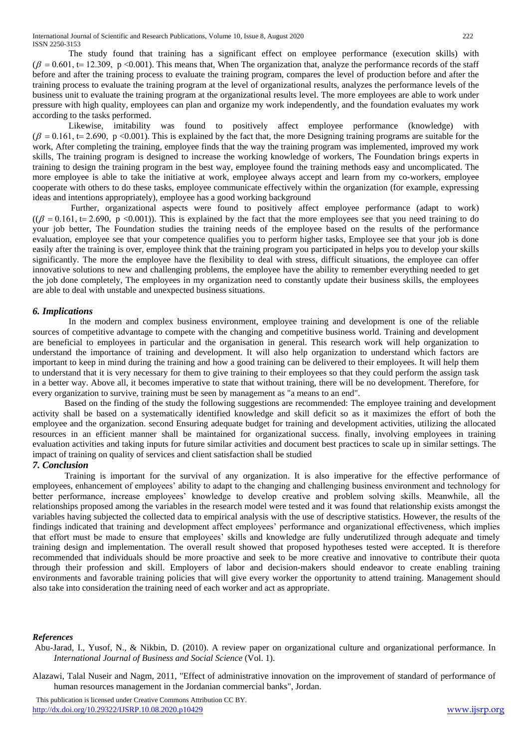The study found that training has a significant effect on employee performance (execution skills) with  $(\beta = 0.601, t = 12.309, p < 0.001)$ . This means that, When The organization that, analyze the performance records of the staff before and after the training process to evaluate the training program, compares the level of production before and after the training process to evaluate the training program at the level of organizational results, analyzes the performance levels of the business unit to evaluate the training program at the organizational results level. The more employees are able to work under pressure with high quality, employees can plan and organize my work independently, and the foundation evaluates my work according to the tasks performed.

Likewise, imitability was found to positively affect employee performance (knowledge) with  $(\beta = 0.161, t = 2.690, p < 0.001)$ . This is explained by the fact that, the more Designing training programs are suitable for the work, After completing the training, employee finds that the way the training program was implemented, improved my work skills, The training program is designed to increase the working knowledge of workers, The Foundation brings experts in training to design the training program in the best way, employee found the training methods easy and uncomplicated. The more employee is able to take the initiative at work, employee always accept and learn from my co-workers, employee cooperate with others to do these tasks, employee communicate effectively within the organization (for example, expressing ideas and intentions appropriately), employee has a good working background

Further, organizational aspects were found to positively affect employee performance (adapt to work)  $((\beta = 0.161, t = 2.690, p < 0.001))$ . This is explained by the fact that the more employees see that you need training to do your job better, The Foundation studies the training needs of the employee based on the results of the performance evaluation, employee see that your competence qualifies you to perform higher tasks, Employee see that your job is done easily after the training is over, employee think that the training program you participated in helps you to develop your skills significantly. The more the employee have the flexibility to deal with stress, difficult situations, the employee can offer innovative solutions to new and challenging problems, the employee have the ability to remember everything needed to get the job done completely, The employees in my organization need to constantly update their business skills, the employees are able to deal with unstable and unexpected business situations.

## *6. Implications*

In the modern and complex business environment, employee training and development is one of the reliable sources of competitive advantage to compete with the changing and competitive business world. Training and development are beneficial to employees in particular and the organisation in general. This research work will help organization to understand the importance of training and development. It will also help organization to understand which factors are important to keep in mind during the training and how a good training can be delivered to their employees. It will help them to understand that it is very necessary for them to give training to their employees so that they could perform the assign task in a better way. Above all, it becomes imperative to state that without training, there will be no development. Therefore, for every organization to survive, training must be seen by management as "a means to an end".

Based on the finding of the study the following suggestions are recommended: The employee training and development activity shall be based on a systematically identified knowledge and skill deficit so as it maximizes the effort of both the employee and the organization. second Ensuring adequate budget for training and development activities, utilizing the allocated resources in an efficient manner shall be maintained for organizational success. finally, involving employees in training evaluation activities and taking inputs for future similar activities and document best practices to scale up in similar settings. The impact of training on quality of services and client satisfaction shall be studied

## *7. Conclusion*

Training is important for the survival of any organization. It is also imperative for the effective performance of employees, enhancement of employees' ability to adapt to the changing and challenging business environment and technology for better performance, increase employees' knowledge to develop creative and problem solving skills. Meanwhile, all the relationships proposed among the variables in the research model were tested and it was found that relationship exists amongst the variables having subjected the collected data to empirical analysis with the use of descriptive statistics. However, the results of the findings indicated that training and development affect employees' performance and organizational effectiveness, which implies that effort must be made to ensure that employees' skills and knowledge are fully underutilized through adequate and timely training design and implementation. The overall result showed that proposed hypotheses tested were accepted. It is therefore recommended that individuals should be more proactive and seek to be more creative and innovative to contribute their quota through their profession and skill. Employers of labor and decision-makers should endeavor to create enabling training environments and favorable training policies that will give every worker the opportunity to attend training. Management should also take into consideration the training need of each worker and act as appropriate.

#### *References*

Abu-Jarad, I., Yusof, N., & Nikbin, D. (2010). A review paper on organizational culture and organizational performance. In *International Journal of Business and Social Science* (Vol. 1).

Alazawi, Talal Nuseir and Nagm, 2011, "Effect of administrative innovation on the improvement of standard of performance of human resources management in the Jordanian commercial banks", Jordan.